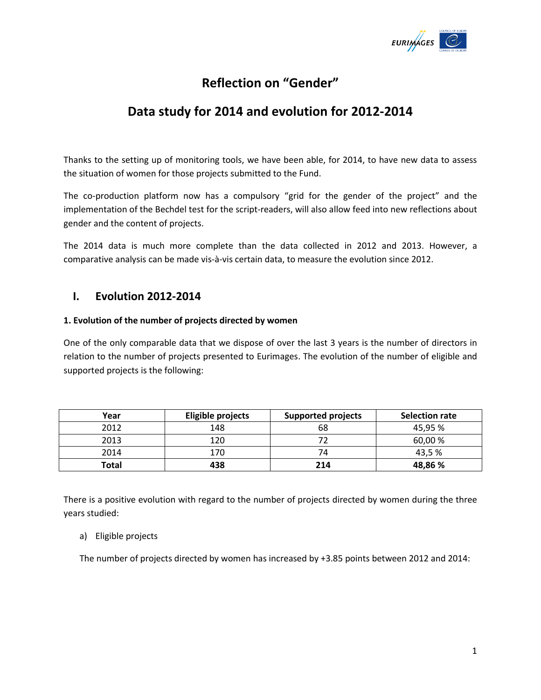

# **Reflection on "Gender"**

# **Data study for 2014 and evolution for 2012-2014**

Thanks to the setting up of monitoring tools, we have been able, for 2014, to have new data to assess the situation of women for those projects submitted to the Fund.

The co-production platform now has a compulsory "grid for the gender of the project" and the implementation of the Bechdel test for the script-readers, will also allow feed into new reflections about gender and the content of projects.

The 2014 data is much more complete than the data collected in 2012 and 2013. However, a comparative analysis can be made vis-à-vis certain data, to measure the evolution since 2012.

## **I. Evolution 2012-2014**

#### **1. Evolution of the number of projects directed by women**

One of the only comparable data that we dispose of over the last 3 years is the number of directors in relation to the number of projects presented to Eurimages. The evolution of the number of eligible and supported projects is the following:

| Year  | Eligible projects | <b>Supported projects</b> | <b>Selection rate</b> |
|-------|-------------------|---------------------------|-----------------------|
| 2012  | 148               | 68                        | 45,95 %               |
| 2013  | 120               |                           | 60,00 %               |
| 2014  | 170               | 74                        | 43,5%                 |
| Total | 438               | 214                       | 48,86 %               |

There is a positive evolution with regard to the number of projects directed by women during the three years studied:

#### a) Eligible projects

The number of projects directed by women has increased by +3.85 points between 2012 and 2014: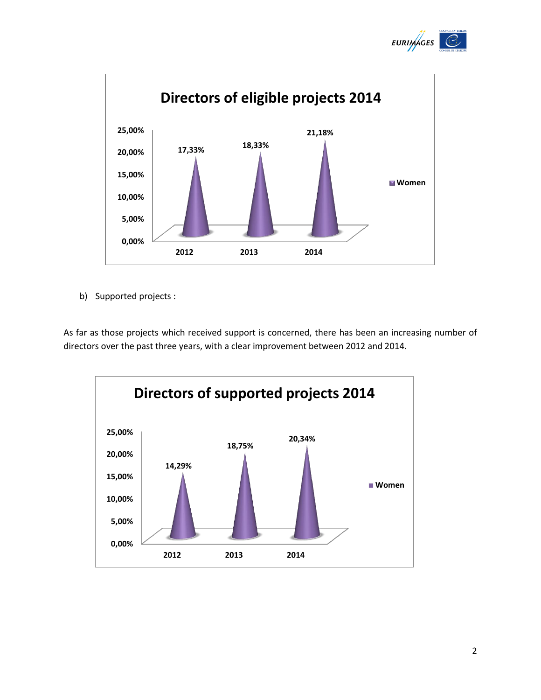



b) Supported projects :

As far as those projects which received support is concerned, there has been an increasing number of directors over the past three years, with a clear improvement between 2012 and 2014.

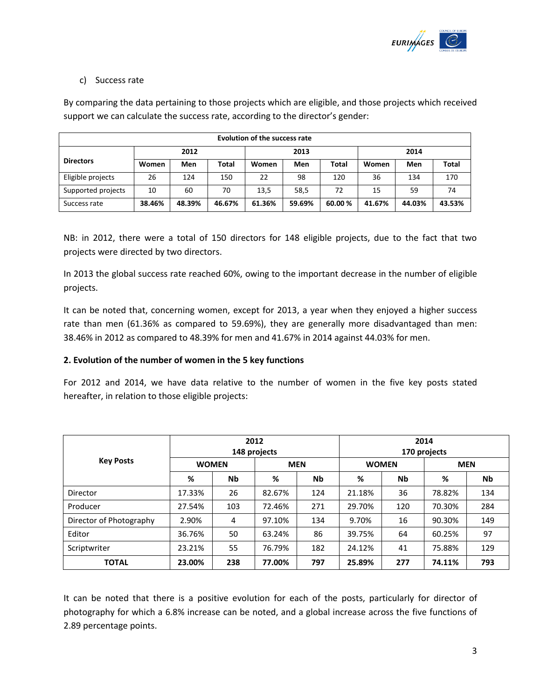

#### c) Success rate

By comparing the data pertaining to those projects which are eligible, and those projects which received support we can calculate the success rate, according to the director's gender:

| Evolution of the success rate |        |        |              |        |        |              |        |        |        |
|-------------------------------|--------|--------|--------------|--------|--------|--------------|--------|--------|--------|
|                               |        | 2012   |              |        | 2013   |              |        | 2014   |        |
| <b>Directors</b>              | Women  | Men    | <b>Total</b> | Women  | Men    | <b>Total</b> | Women  | Men    | Total  |
| Eligible projects             | 26     | 124    | 150          | 22     | 98     | 120          | 36     | 134    | 170    |
| Supported projects            | 10     | 60     | 70           | 13,5   | 58,5   | 72           | 15     | 59     | 74     |
| Success rate                  | 38.46% | 48.39% | 46.67%       | 61.36% | 59.69% | 60.00%       | 41.67% | 44.03% | 43.53% |

NB: in 2012, there were a total of 150 directors for 148 eligible projects, due to the fact that two projects were directed by two directors.

In 2013 the global success rate reached 60%, owing to the important decrease in the number of eligible projects.

It can be noted that, concerning women, except for 2013, a year when they enjoyed a higher success rate than men (61.36% as compared to 59.69%), they are generally more disadvantaged than men: 38.46% in 2012 as compared to 48.39% for men and 41.67% in 2014 against 44.03% for men.

#### **2. Evolution of the number of women in the 5 key functions**

For 2012 and 2014, we have data relative to the number of women in the five key posts stated hereafter, in relation to those eligible projects:

| <b>Key Posts</b>        |              | 2012<br>148 projects |            |     |              | 2014<br>170 projects |            |           |  |
|-------------------------|--------------|----------------------|------------|-----|--------------|----------------------|------------|-----------|--|
|                         | <b>WOMEN</b> |                      | <b>MEN</b> |     | <b>WOMEN</b> |                      | <b>MEN</b> |           |  |
|                         | %            | Nb                   | %          | Nb  | %            | Nb                   | %          | <b>Nb</b> |  |
| Director                | 17.33%       | 26                   | 82.67%     | 124 | 21.18%       | 36                   | 78.82%     | 134       |  |
| Producer                | 27.54%       | 103                  | 72.46%     | 271 | 29.70%       | 120                  | 70.30%     | 284       |  |
| Director of Photography | 2.90%        | 4                    | 97.10%     | 134 | 9.70%        | 16                   | 90.30%     | 149       |  |
| Editor                  | 36.76%       | 50                   | 63.24%     | 86  | 39.75%       | 64                   | 60.25%     | 97        |  |
| Scriptwriter            | 23.21%       | 55                   | 76.79%     | 182 | 24.12%       | 41                   | 75.88%     | 129       |  |
| <b>TOTAL</b>            | 23.00%       | 238                  | 77.00%     | 797 | 25.89%       | 277                  | 74.11%     | 793       |  |

It can be noted that there is a positive evolution for each of the posts, particularly for director of photography for which a 6.8% increase can be noted, and a global increase across the five functions of 2.89 percentage points.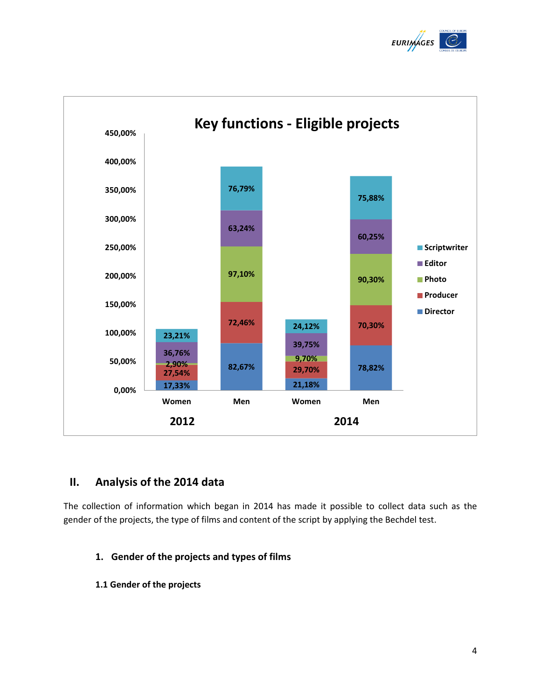



## **II. Analysis of the 2014 data**

The collection of information which began in 2014 has made it possible to collect data such as the gender of the projects, the type of films and content of the script by applying the Bechdel test.

## **1. Gender of the projects and types of films**

**1.1 Gender of the projects**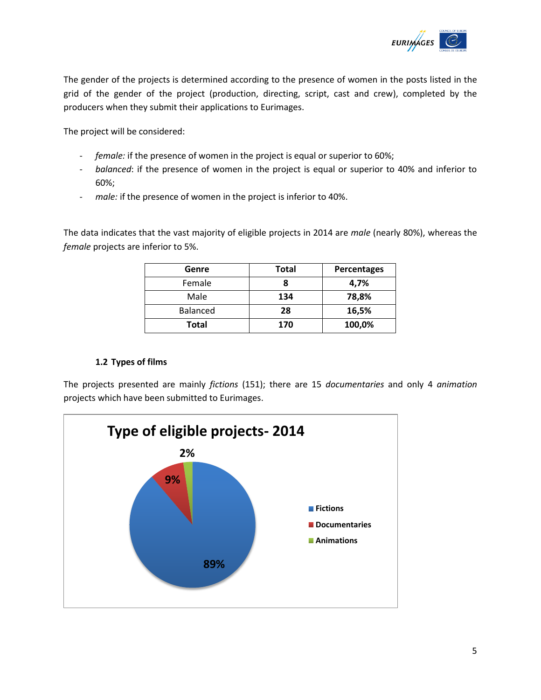

The gender of the projects is determined according to the presence of women in the posts listed in the grid of the gender of the project (production, directing, script, cast and crew), completed by the producers when they submit their applications to Eurimages.

The project will be considered:

- *female:* if the presence of women in the project is equal or superior to 60%;
- *balanced*: if the presence of women in the project is equal or superior to 40% and inferior to 60%;
- *male:* if the presence of women in the project is inferior to 40%.

The data indicates that the vast majority of eligible projects in 2014 are *male* (nearly 80%), whereas the *female* projects are inferior to 5%.

| Genre    | <b>Total</b> | <b>Percentages</b> |
|----------|--------------|--------------------|
| Female   |              | 4,7%               |
| Male     | 134          | 78,8%              |
| Balanced | 28           | 16,5%              |
| Total    | 170          | 100,0%             |

#### **1.2 Types of films**

The projects presented are mainly *fictions* (151); there are 15 *documentaries* and only 4 *animation* projects which have been submitted to Eurimages.

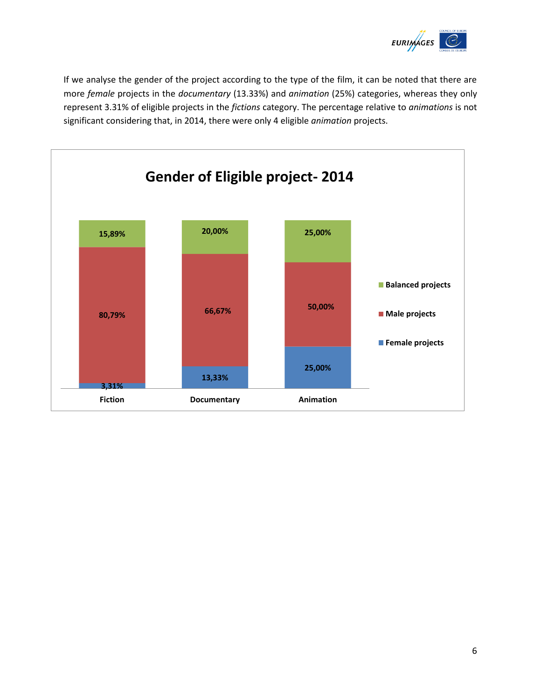

If we analyse the gender of the project according to the type of the film, it can be noted that there are more *female* projects in the *documentary* (13.33%) and *animation* (25%) categories, whereas they only represent 3.31% of eligible projects in the *fictions* category. The percentage relative to *animations* is not significant considering that, in 2014, there were only 4 eligible *animation* projects.

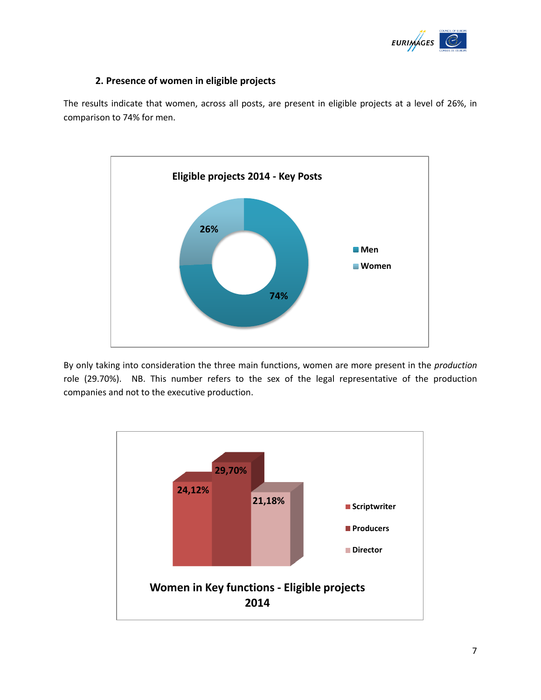

## **2. Presence of women in eligible projects**

The results indicate that women, across all posts, are present in eligible projects at a level of 26%, in comparison to 74% for men.



By only taking into consideration the three main functions, women are more present in the *production* role (29.70%). NB. This number refers to the sex of the legal representative of the production companies and not to the executive production.

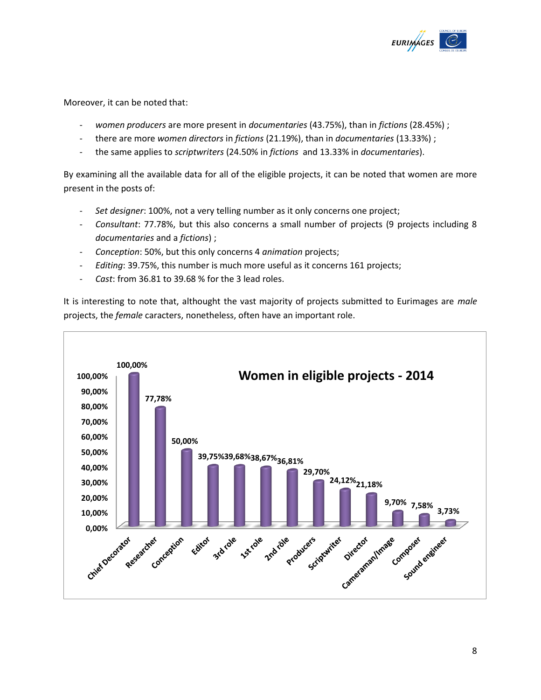

Moreover, it can be noted that:

- *women producers* are more present in *documentaries* (43.75%), than in *fictions* (28.45%) ;
- there are more *women directors* in *fictions* (21.19%), than in *documentaries* (13.33%) ;
- the same applies to *scriptwriters* (24.50% in *fictions* and 13.33% in *documentaries*).

By examining all the available data for all of the eligible projects, it can be noted that women are more present in the posts of:

- *Set designer*: 100%, not a very telling number as it only concerns one project;
- *Consultant*: 77.78%, but this also concerns a small number of projects (9 projects including 8 *documentaries* and a *fictions*) ;
- *Conception*: 50%, but this only concerns 4 *animation* projects;
- *Editing*: 39.75%, this number is much more useful as it concerns 161 projects;
- *Cast*: from 36.81 to 39.68 % for the 3 lead roles.

It is interesting to note that, althought the vast majority of projects submitted to Eurimages are *male* projects, the *female* caracters, nonetheless, often have an important role.

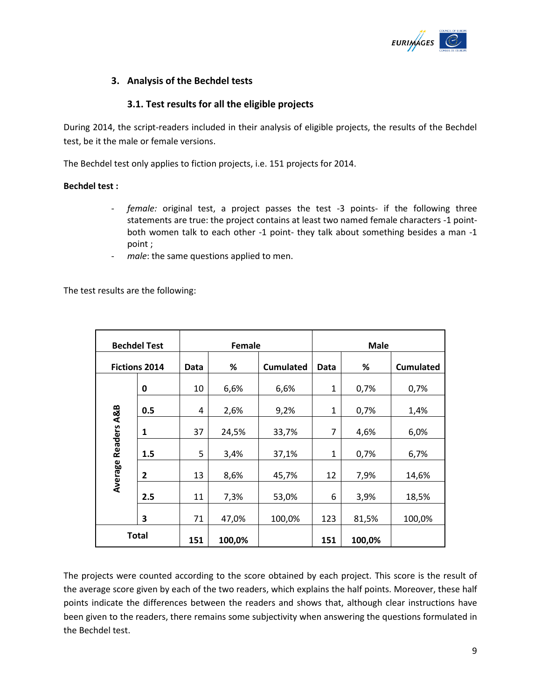

## **3. Analysis of the Bechdel tests**

## **3.1. Test results for all the eligible projects**

During 2014, the script-readers included in their analysis of eligible projects, the results of the Bechdel test, be it the male or female versions.

The Bechdel test only applies to fiction projects, i.e. 151 projects for 2014.

#### **Bechdel test :**

- *female:* original test, a project passes the test -3 points- if the following three statements are true: the project contains at least two named female characters -1 pointboth women talk to each other -1 point- they talk about something besides a man -1 point ;
- male: the same questions applied to men.

The test results are the following:

| <b>Bechdel Test</b>    |              | Female |        |                  | <b>Male</b> |        |                  |  |
|------------------------|--------------|--------|--------|------------------|-------------|--------|------------------|--|
| <b>Fictions 2014</b>   |              | Data   | %      | <b>Cumulated</b> | Data        | %      | <b>Cumulated</b> |  |
|                        | 0            | 10     | 6,6%   | 6,6%             | 1           | 0,7%   | 0,7%             |  |
|                        | 0.5          | 4      | 2,6%   | 9,2%             | 1           | 0,7%   | 1,4%             |  |
| <b>Readers A&amp;B</b> | 1            | 37     | 24,5%  | 33,7%            | 7           | 4,6%   | 6,0%             |  |
|                        | 1.5          | 5      | 3,4%   | 37,1%            | 1           | 0,7%   | 6,7%             |  |
| Average                | 2            | 13     | 8,6%   | 45,7%            | 12          | 7,9%   | 14,6%            |  |
|                        | 2.5          | 11     | 7,3%   | 53,0%            | 6           | 3,9%   | 18,5%            |  |
|                        | 3            | 71     | 47,0%  | 100,0%           | 123         | 81,5%  | 100,0%           |  |
|                        | <b>Total</b> | 151    | 100,0% |                  | 151         | 100,0% |                  |  |

The projects were counted according to the score obtained by each project. This score is the result of the average score given by each of the two readers, which explains the half points. Moreover, these half points indicate the differences between the readers and shows that, although clear instructions have been given to the readers, there remains some subjectivity when answering the questions formulated in the Bechdel test.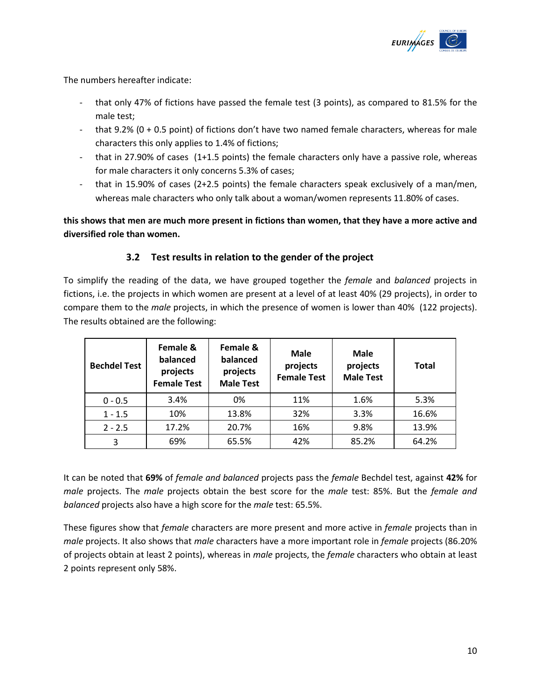

The numbers hereafter indicate:

- that only 47% of fictions have passed the female test (3 points), as compared to 81.5% for the male test;
- that 9.2% (0 + 0.5 point) of fictions don't have two named female characters, whereas for male characters this only applies to 1.4% of fictions;
- that in 27.90% of cases (1+1.5 points) the female characters only have a passive role, whereas for male characters it only concerns 5.3% of cases;
- that in 15.90% of cases (2+2.5 points) the female characters speak exclusively of a man/men, whereas male characters who only talk about a woman/women represents 11.80% of cases.

**this shows that men are much more present in fictions than women, that they have a more active and diversified role than women.**

## **3.2 Test results in relation to the gender of the project**

To simplify the reading of the data, we have grouped together the *female* and *balanced* projects in fictions, i.e. the projects in which women are present at a level of at least 40% (29 projects), in order to compare them to the *male* projects, in which the presence of women is lower than 40% (122 projects). The results obtained are the following:

| <b>Bechdel Test</b> | Female &<br>balanced<br>projects<br><b>Female Test</b> | Female &<br>balanced<br>projects<br><b>Male Test</b> | Male<br>projects<br><b>Female Test</b> | <b>Male</b><br>projects<br><b>Male Test</b> | <b>Total</b> |
|---------------------|--------------------------------------------------------|------------------------------------------------------|----------------------------------------|---------------------------------------------|--------------|
| $0 - 0.5$           | 3.4%                                                   | 0%                                                   | 11%                                    | 1.6%                                        | 5.3%         |
| $1 - 1.5$           | 10%                                                    | 13.8%                                                | 32%                                    | 3.3%                                        | 16.6%        |
| $2 - 2.5$           | 17.2%                                                  | 20.7%                                                | 16%                                    | 9.8%                                        | 13.9%        |
| 3                   | 69%                                                    | 65.5%                                                | 42%                                    | 85.2%                                       | 64.2%        |

It can be noted that **69%** of *female and balanced* projects pass the *female* Bechdel test, against **42%** for *male* projects. The *male* projects obtain the best score for the *male* test: 85%. But the *female and balanced* projects also have a high score for the *male* test: 65.5%.

These figures show that *female* characters are more present and more active in *female* projects than in *male* projects. It also shows that *male* characters have a more important role in *female* projects (86.20% of projects obtain at least 2 points), whereas in *male* projects, the *female* characters who obtain at least 2 points represent only 58%.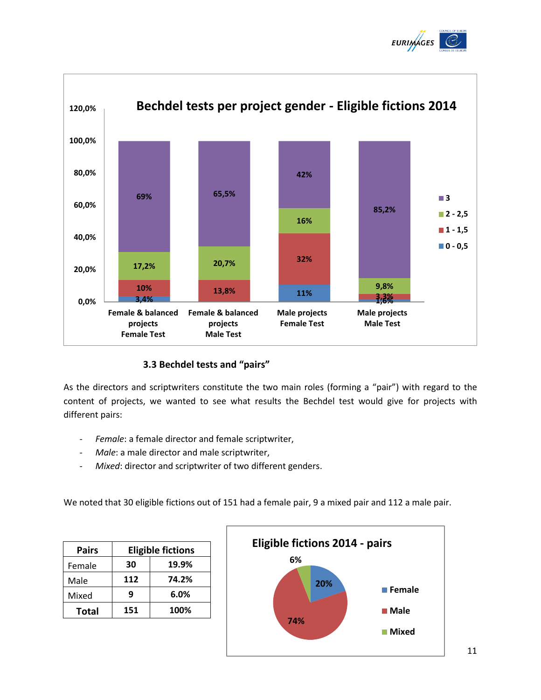



## **3.3 Bechdel tests and "pairs"**

As the directors and scriptwriters constitute the two main roles (forming a "pair") with regard to the content of projects, we wanted to see what results the Bechdel test would give for projects with different pairs:

- *Female*: a female director and female scriptwriter,
- Male: a male director and male scriptwriter,
- Mixed: director and scriptwriter of two different genders.

We noted that 30 eligible fictions out of 151 had a female pair, 9 a mixed pair and 112 a male pair.

| Pairs        | <b>Eligible fictions</b> |       |  |  |  |
|--------------|--------------------------|-------|--|--|--|
| Female       | 30                       | 19.9% |  |  |  |
| Male         | 112                      | 74.2% |  |  |  |
| Mixed        | q                        | 6.0%  |  |  |  |
| <b>Total</b> | 151                      | 100%  |  |  |  |

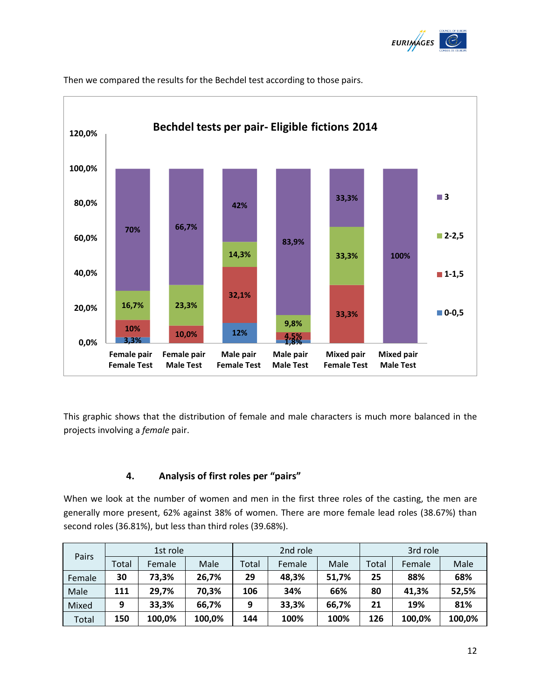



Then we compared the results for the Bechdel test according to those pairs.

This graphic shows that the distribution of female and male characters is much more balanced in the projects involving a *female* pair.

#### **4. Analysis of first roles per "pairs"**

When we look at the number of women and men in the first three roles of the casting, the men are generally more present, 62% against 38% of women. There are more female lead roles (38.67%) than second roles (36.81%), but less than third roles (39.68%).

| Pairs  | 1st role |        |        | 2nd role |        |       | 3rd role |        |        |
|--------|----------|--------|--------|----------|--------|-------|----------|--------|--------|
|        | Total    | Female | Male   | Total    | Female | Male  | Total    | Female | Male   |
| Female | 30       | 73,3%  | 26,7%  | 29       | 48,3%  | 51,7% | 25       | 88%    | 68%    |
| Male   | 111      | 29,7%  | 70,3%  | 106      | 34%    | 66%   | 80       | 41,3%  | 52,5%  |
| Mixed  | 9        | 33,3%  | 66,7%  | 9        | 33,3%  | 66,7% | 21       | 19%    | 81%    |
| Total  | 150      | 100,0% | 100,0% | 144      | 100%   | 100%  | 126      | 100,0% | 100,0% |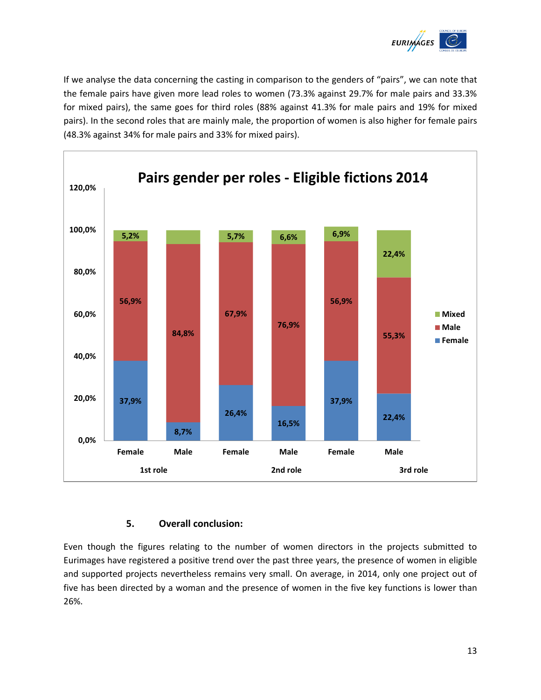

If we analyse the data concerning the casting in comparison to the genders of "pairs", we can note that the female pairs have given more lead roles to women (73.3% against 29.7% for male pairs and 33.3% for mixed pairs), the same goes for third roles (88% against 41.3% for male pairs and 19% for mixed pairs). In the second roles that are mainly male, the proportion of women is also higher for female pairs (48.3% against 34% for male pairs and 33% for mixed pairs).



## **5. Overall conclusion:**

Even though the figures relating to the number of women directors in the projects submitted to Eurimages have registered a positive trend over the past three years, the presence of women in eligible and supported projects nevertheless remains very small. On average, in 2014, only one project out of five has been directed by a woman and the presence of women in the five key functions is lower than 26%.